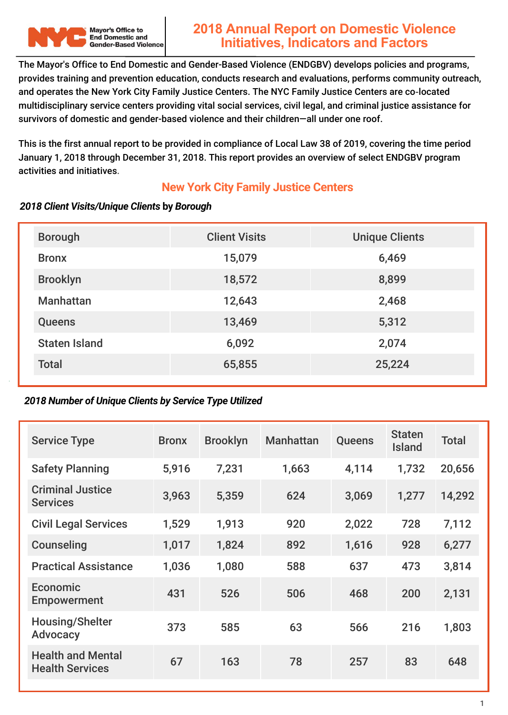

The Mayor's Office to End Domestic and Gender-Based Violence (ENDGBV) develops policies and programs, provides training and prevention education, conducts research and evaluations, performs community outreach, and operates the New York City Family Justice Centers. The NYC Family Justice Centers are co‐located multidisciplinary service centers providing vital social services, civil legal, and criminal justice assistance for survivors of domestic and gender-based violence and their children—all under one roof.

This is the first annual report to be provided in compliance of Local Law 38 of 2019, covering the time period January 1, 2018 through December 31, 2018. This report provides an overview of select ENDGBV program activities and initiatives.

#### **New York City Family Justice Centers**

#### *2018 Client Visits/Unique Clients* **by** *Borough*

| <b>Borough</b>       | <b>Client Visits</b> | <b>Unique Clients</b> |
|----------------------|----------------------|-----------------------|
| <b>Bronx</b>         | 15,079               | 6,469                 |
| <b>Brooklyn</b>      | 18,572               | 8,899                 |
| <b>Manhattan</b>     | 12,643               | 2,468                 |
| <b>Queens</b>        | 13,469               | 5,312                 |
| <b>Staten Island</b> | 6,092                | 2,074                 |
| <b>Total</b>         | 65,855               | 25,224                |

#### *2018 Number of Unique Clients by Service Type Utilized*

| <b>Service Type</b>                                | <b>Bronx</b> | <b>Brooklyn</b> | <b>Manhattan</b> | <b>Queens</b> | <b>Staten</b><br><b>Island</b> | <b>Total</b> |
|----------------------------------------------------|--------------|-----------------|------------------|---------------|--------------------------------|--------------|
| <b>Safety Planning</b>                             | 5,916        | 7,231           | 1,663            | 4,114         | 1,732                          | 20,656       |
| <b>Criminal Justice</b><br><b>Services</b>         | 3,963        | 5,359           | 624              | 3,069         | 1,277                          | 14,292       |
| <b>Civil Legal Services</b>                        | 1,529        | 1,913           | 920              | 2,022         | 728                            | 7,112        |
| Counseling                                         | 1,017        | 1,824           | 892              | 1,616         | 928                            | 6,277        |
| <b>Practical Assistance</b>                        | 1,036        | 1,080           | 588              | 637           | 473                            | 3,814        |
| Economic<br><b>Empowerment</b>                     | 431          | 526             | 506              | 468           | 200                            | 2,131        |
| <b>Housing/Shelter</b><br><b>Advocacy</b>          | 373          | 585             | 63               | 566           | 216                            | 1,803        |
| <b>Health and Mental</b><br><b>Health Services</b> | 67           | 163             | 78               | 257           | 83                             | 648          |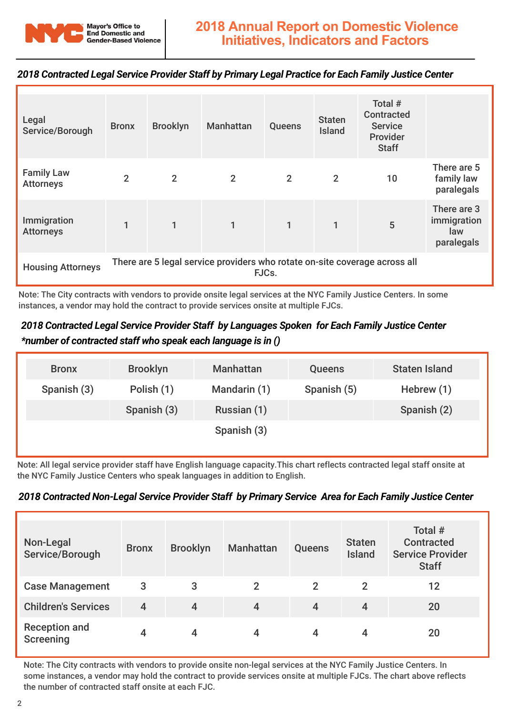

#### *2018 Contracted Legal Service Provider Staff by Primary Legal Practice for Each Family Justice Center*

| Legal<br>Service/Borough                                                                                        | <b>Bronx</b>   | <b>Brooklyn</b> | <b>Manhattan</b> | Queens         | <b>Staten</b><br><b>Island</b> | Total #<br><b>Contracted</b><br><b>Service</b><br>Provider<br><b>Staff</b> |                                                 |
|-----------------------------------------------------------------------------------------------------------------|----------------|-----------------|------------------|----------------|--------------------------------|----------------------------------------------------------------------------|-------------------------------------------------|
| <b>Family Law</b><br><b>Attorneys</b>                                                                           | $\overline{2}$ | $\overline{2}$  | $\overline{2}$   | $\overline{2}$ | $\overline{2}$                 | 10                                                                         | There are 5<br>family law<br>paralegals         |
| Immigration<br><b>Attorneys</b>                                                                                 |                | $\mathbf{1}$    |                  | $\mathbf{1}$   | 1                              | 5                                                                          | There are 3<br>immigration<br>law<br>paralegals |
| There are 5 legal service providers who rotate on-site coverage across all<br><b>Housing Attorneys</b><br>FJCs. |                |                 |                  |                |                                |                                                                            |                                                 |

Note: The City contracts with vendors to provide onsite legal services at the NYC Family Justice Centers. In some instances, a vendor may hold the contract to provide services onsite at multiple FJCs.

#### *2018 Contracted Legal Service Provider Staff by Languages Spoken for Each Family Justice Center \*number of contracted staff who speak each language is in ()*

| <b>Bronx</b> | <b>Brooklyn</b> | <b>Manhattan</b> | <b>Queens</b> | <b>Staten Island</b> |
|--------------|-----------------|------------------|---------------|----------------------|
| Spanish (3)  | Polish (1)      | Mandarin (1)     | Spanish (5)   | Hebrew (1)           |
|              | Spanish (3)     | Russian (1)      |               | Spanish (2)          |
|              |                 | Spanish (3)      |               |                      |
|              |                 |                  |               |                      |

Note: All legal service provider staff have English language capacity.This chart reflects contracted legal staff onsite at the NYC Family Justice Centers who speak languages in addition to English.

#### *2018 Contracted Non-Legal Service Provider Staff by Primary Service Area for Each Family Justice Center*

| Non-Legal<br>Service/Borough             | <b>Bronx</b> | <b>Brooklyn</b> | <b>Manhattan</b> | <b>Queens</b> | <b>Staten</b><br><b>Island</b> | Total #<br><b>Contracted</b><br><b>Service Provider</b><br><b>Staff</b> |
|------------------------------------------|--------------|-----------------|------------------|---------------|--------------------------------|-------------------------------------------------------------------------|
| <b>Case Management</b>                   | 3            | 3               | $\overline{2}$   | $\mathbf{2}$  | $\overline{2}$                 | 12                                                                      |
| <b>Children's Services</b>               | 4            | $\overline{4}$  | $\overline{4}$   | 4             | 4                              | 20                                                                      |
| <b>Reception and</b><br><b>Screening</b> |              | 4               |                  | 4             | 4                              | 20                                                                      |

Note: The City contracts with vendors to provide onsite non-legal services at the NYC Family Justice Centers. In some instances, a vendor may hold the contract to provide services onsite at multiple FJCs. The chart above reflects the number of contracted staff onsite at each FJC.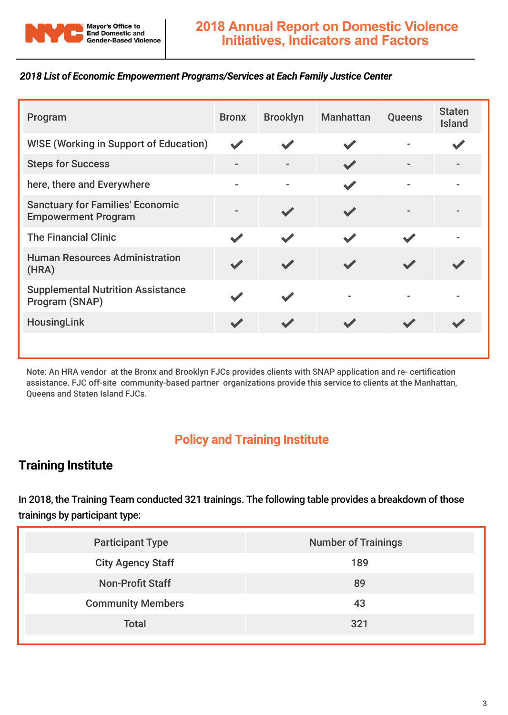

#### *2018 List of Economic Empowerment Programs/Services at Each Family Justice Center*

| Program                                                               | <b>Bronx</b>   | <b>Brooklyn</b> | <b>Manhattan</b> | <b>Queens</b> | <b>Staten</b><br><b>Island</b> |
|-----------------------------------------------------------------------|----------------|-----------------|------------------|---------------|--------------------------------|
| <b>WISE (Working in Support of Education)</b>                         |                |                 |                  |               |                                |
| <b>Steps for Success</b>                                              |                |                 |                  |               |                                |
| here, there and Everywhere                                            | $\blacksquare$ |                 |                  |               |                                |
| <b>Sanctuary for Families' Economic</b><br><b>Empowerment Program</b> |                |                 |                  |               |                                |
| <b>The Financial Clinic</b>                                           |                |                 |                  |               |                                |
| <b>Human Resources Administration</b><br>(HRA)                        |                |                 |                  |               |                                |
| <b>Supplemental Nutrition Assistance</b><br>Program (SNAP)            |                |                 |                  |               |                                |
| <b>HousingLink</b>                                                    |                |                 |                  |               |                                |
|                                                                       |                |                 |                  |               |                                |

Note: An HRA vendor at the Bronx and Brooklyn FJCs provides clients with SNAP application and re- certification assistance. FJC off-site community-based partner organizations provide this service to clients at the Manhattan, Queens and Staten Island FJCs.

# **Policy and Training Institute**

## **Training Institute**

In 2018, the Training Team conducted 321 trainings. The following table provides a breakdown of those trainings by participant type:

| <b>Participant Type</b>  | <b>Number of Trainings</b> |
|--------------------------|----------------------------|
| <b>City Agency Staff</b> | 189                        |
| <b>Non-Profit Staff</b>  | 89                         |
| <b>Community Members</b> | 43                         |
| <b>Total</b>             | 321                        |
|                          |                            |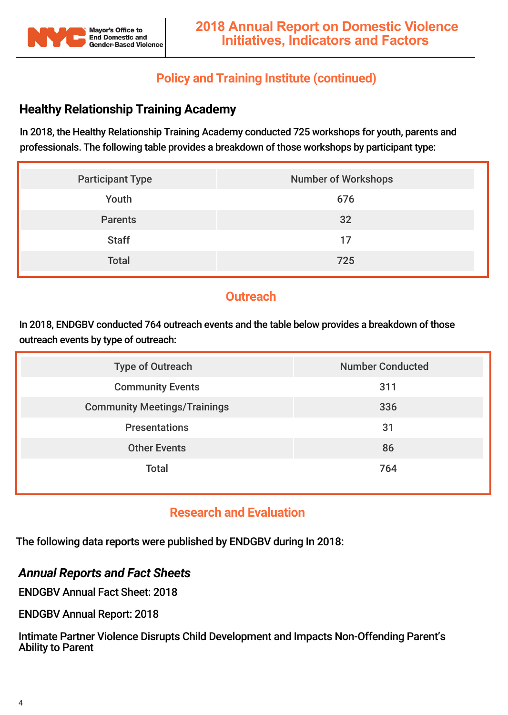

## **Policy and Training Institute (continued)**

# **Healthy Relationship Training Academy**

In 2018, the Healthy Relationship Training Academy conducted 725 workshops for youth, parents and professionals. The following table provides a breakdown of those workshops by participant type:

| <b>Participant Type</b> | <b>Number of Workshops</b> |
|-------------------------|----------------------------|
| Youth                   | 676                        |
| <b>Parents</b>          | 32                         |
| <b>Staff</b>            | 17                         |
| <b>Total</b>            | 725                        |

## **Outreach**

In 2018, ENDGBV conducted 764 outreach events and the table below provides a breakdown of those outreach events by type of outreach:

| <b>Type of Outreach</b>             | <b>Number Conducted</b> |
|-------------------------------------|-------------------------|
| <b>Community Events</b>             | 311                     |
| <b>Community Meetings/Trainings</b> | 336                     |
| <b>Presentations</b>                | 31                      |
| <b>Other Events</b>                 | 86                      |
| <b>Total</b>                        | 764                     |

## **Research and Evaluation**

The following data reports were published by ENDGBV during In 2018:

#### *Annual Reports and Fact Sheets*

ENDGBV Annual Fact Sheet: 2018

ENDGBV Annual Report: 2018

Intimate Partner Violence Disrupts Child Development and Impacts Non-Offending Parent's Ability to Parent